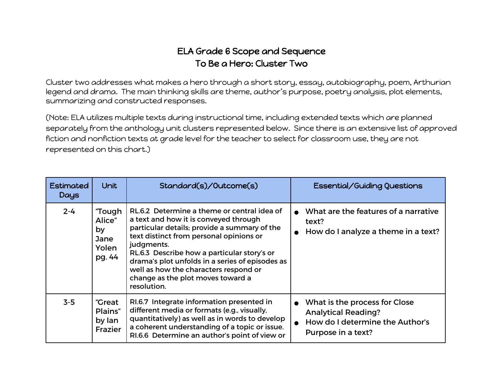## ELA Grade 6 Scope and Sequence To Be a Hero: Cluster Two

Cluster two addresses what makes a hero through a short story, essay, autobiography, poem, Arthurian legend and drama. The main thinking skills are theme, author's purpose, poetry analysis, plot elements, summarizing and constructed responses.

(Note: ELA utilizes multiple texts during instructional time, including extended texts which are planned separately from the anthology unit clusters represented below. Since there is an extensive list of approved fiction and nonfiction texts at grade level for the teacher to select for classroom use, they are not represented on this chart.)

| Estimated<br>Days | <b>Unit</b>                                       | Standard(s)/Outcome(s)                                                                                                                                                                                                                                                                                                                                                                       | Essential/Guiding Questions                                                                                          |
|-------------------|---------------------------------------------------|----------------------------------------------------------------------------------------------------------------------------------------------------------------------------------------------------------------------------------------------------------------------------------------------------------------------------------------------------------------------------------------------|----------------------------------------------------------------------------------------------------------------------|
| $2 - 4$           | "Tough<br>Alice"<br>by<br>Jane<br>Yolen<br>pg. 44 | RL.6.2 Determine a theme or central idea of<br>a text and how it is conveyed through<br>particular details; provide a summary of the<br>text distinct from personal opinions or<br>judgments.<br>RL.6.3 Describe how a particular story's or<br>drama's plot unfolds in a series of episodes as<br>well as how the characters respond or<br>change as the plot moves toward a<br>resolution. | What are the features of a narrative<br>text?<br>How do I analyze a theme in a text?                                 |
| $3-5$             | "Great<br>Plains"<br>by lan<br><b>Frazier</b>     | RI.6.7 Integrate information presented in<br>different media or formats (e.g., visually,<br>quantitatively) as well as in words to develop<br>a coherent understanding of a topic or issue.<br>RI.6.6 Determine an author's point of view or                                                                                                                                                 | What is the process for Close<br><b>Analytical Reading?</b><br>How do I determine the Author's<br>Purpose in a text? |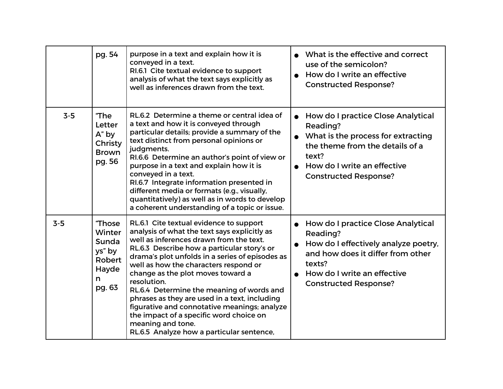|       | pg. 54                                                                      | purpose in a text and explain how it is<br>conveyed in a text.<br>RI.6.1 Cite textual evidence to support<br>analysis of what the text says explicitly as<br>well as inferences drawn from the text.                                                                                                                                                                                                                                                                                                                                                                                         |                        | • What is the effective and correct<br>use of the semicolon?<br>How do I write an effective<br><b>Constructed Response?</b>                                                                          |
|-------|-----------------------------------------------------------------------------|----------------------------------------------------------------------------------------------------------------------------------------------------------------------------------------------------------------------------------------------------------------------------------------------------------------------------------------------------------------------------------------------------------------------------------------------------------------------------------------------------------------------------------------------------------------------------------------------|------------------------|------------------------------------------------------------------------------------------------------------------------------------------------------------------------------------------------------|
| $3-5$ | "The<br>Letter<br>A" by<br>Christy<br><b>Brown</b><br>pg. 56                | RL.6.2 Determine a theme or central idea of<br>a text and how it is conveyed through<br>particular details; provide a summary of the<br>text distinct from personal opinions or<br>judgments.<br>RI.6.6 Determine an author's point of view or<br>purpose in a text and explain how it is<br>conveyed in a text.<br>RI.6.7 Integrate information presented in<br>different media or formats (e.g., visually,<br>quantitatively) as well as in words to develop<br>a coherent understanding of a topic or issue.                                                                              | $\bullet$<br>$\bullet$ | How do I practice Close Analytical<br>Reading?<br>What is the process for extracting<br>the theme from the details of a<br>text?<br>How do I write an effective<br><b>Constructed Response?</b>      |
| $3-5$ | <b>Those</b><br>Winter<br>Sunda<br>ys" by<br>Robert<br>Hayde<br>n<br>pg. 63 | RL.6.1 Cite textual evidence to support<br>analysis of what the text says explicitly as<br>well as inferences drawn from the text.<br>RL.6.3 Describe how a particular story's or<br>drama's plot unfolds in a series of episodes as<br>well as how the characters respond or<br>change as the plot moves toward a<br>resolution.<br>RL.6.4 Determine the meaning of words and<br>phrases as they are used in a text, including<br>figurative and connotative meanings; analyze<br>the impact of a specific word choice on<br>meaning and tone.<br>RL.6.5 Analyze how a particular sentence, | $\bullet$              | How do I practice Close Analytical<br>Reading?<br>How do I effectively analyze poetry,<br>and how does it differ from other<br>texts?<br>How do I write an effective<br><b>Constructed Response?</b> |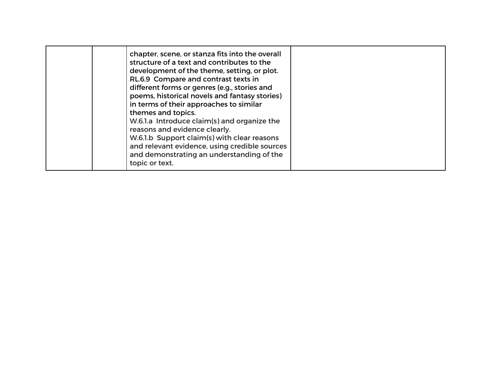| in terms of their approaches to similar<br>themes and topics.<br>W.6.1.a Introduce claim(s) and organize the<br>reasons and evidence clearly.<br>W.6.1.b Support claim(s) with clear reasons<br>and relevant evidence, using credible sources<br>and demonstrating an understanding of the<br>topic or text. |  | chapter, scene, or stanza fits into the overall<br>structure of a text and contributes to the<br>development of the theme, setting, or plot.<br>RL.6.9 Compare and contrast texts in<br>different forms or genres (e.g., stories and<br>poems, historical novels and fantasy stories) |  |
|--------------------------------------------------------------------------------------------------------------------------------------------------------------------------------------------------------------------------------------------------------------------------------------------------------------|--|---------------------------------------------------------------------------------------------------------------------------------------------------------------------------------------------------------------------------------------------------------------------------------------|--|
|--------------------------------------------------------------------------------------------------------------------------------------------------------------------------------------------------------------------------------------------------------------------------------------------------------------|--|---------------------------------------------------------------------------------------------------------------------------------------------------------------------------------------------------------------------------------------------------------------------------------------|--|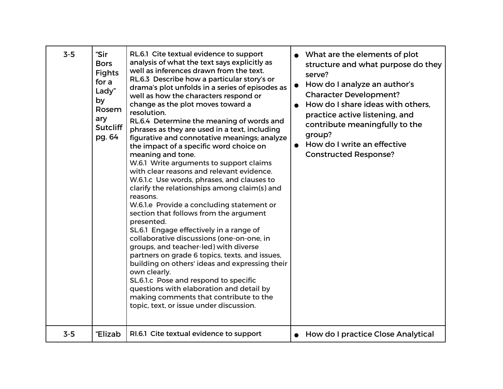| $3 - 5$ | "Sir<br><b>Bors</b><br><b>Fights</b><br>for a<br>Lady"<br>by<br>Rosem<br>ary<br><b>Sutcliff</b><br>pg. 64 | RL.6.1 Cite textual evidence to support<br>analysis of what the text says explicitly as<br>well as inferences drawn from the text.<br>RL.6.3 Describe how a particular story's or<br>drama's plot unfolds in a series of episodes as<br>well as how the characters respond or<br>change as the plot moves toward a<br>resolution.<br>RL.6.4 Determine the meaning of words and<br>phrases as they are used in a text, including<br>figurative and connotative meanings; analyze<br>the impact of a specific word choice on<br>meaning and tone.<br>W.6.1 Write arguments to support claims<br>with clear reasons and relevant evidence.<br>W.6.1.c Use words, phrases, and clauses to<br>clarify the relationships among claim(s) and<br>reasons.<br>W.6.1.e Provide a concluding statement or<br>section that follows from the argument<br>presented.<br>SL.6.1 Engage effectively in a range of<br>collaborative discussions (one-on-one, in<br>groups, and teacher-led) with diverse<br>partners on grade 6 topics, texts, and issues,<br>building on others' ideas and expressing their<br>own clearly.<br>SL.6.1.c Pose and respond to specific<br>questions with elaboration and detail by<br>making comments that contribute to the<br>topic, text, or issue under discussion. | What are the elements of plot<br>structure and what purpose do they<br>serve?<br>How do I analyze an author's<br><b>Character Development?</b><br>How do I share ideas with others.<br>practice active listening, and<br>contribute meaningfully to the<br>group?<br>How do I write an effective<br><b>Constructed Response?</b> |
|---------|-----------------------------------------------------------------------------------------------------------|---------------------------------------------------------------------------------------------------------------------------------------------------------------------------------------------------------------------------------------------------------------------------------------------------------------------------------------------------------------------------------------------------------------------------------------------------------------------------------------------------------------------------------------------------------------------------------------------------------------------------------------------------------------------------------------------------------------------------------------------------------------------------------------------------------------------------------------------------------------------------------------------------------------------------------------------------------------------------------------------------------------------------------------------------------------------------------------------------------------------------------------------------------------------------------------------------------------------------------------------------------------------------------------|----------------------------------------------------------------------------------------------------------------------------------------------------------------------------------------------------------------------------------------------------------------------------------------------------------------------------------|
| $3 - 5$ | "Elizab                                                                                                   | RI.6.1 Cite textual evidence to support                                                                                                                                                                                                                                                                                                                                                                                                                                                                                                                                                                                                                                                                                                                                                                                                                                                                                                                                                                                                                                                                                                                                                                                                                                               | <b>How do I practice Close Analytical</b>                                                                                                                                                                                                                                                                                        |